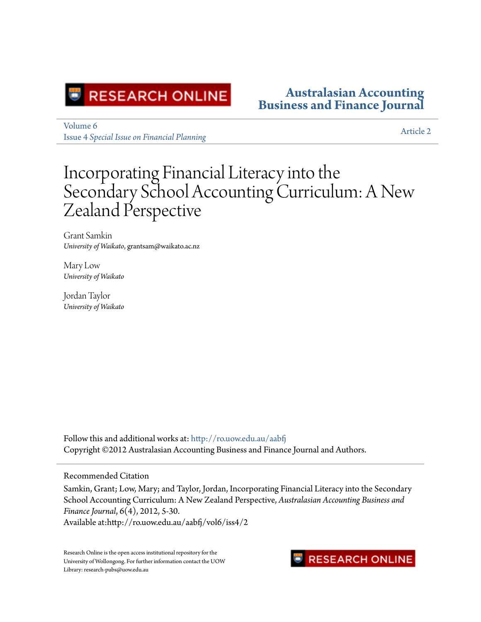

#### **[Australasian Accounting](http://ro.uow.edu.au/aabfj?utm_source=ro.uow.edu.au%2Faabfj%2Fvol6%2Fiss4%2F2&utm_medium=PDF&utm_campaign=PDFCoverPages) [Business and Finance Journal](http://ro.uow.edu.au/aabfj?utm_source=ro.uow.edu.au%2Faabfj%2Fvol6%2Fiss4%2F2&utm_medium=PDF&utm_campaign=PDFCoverPages)**

[Volume 6](http://ro.uow.edu.au/aabfj/vol6?utm_source=ro.uow.edu.au%2Faabfj%2Fvol6%2Fiss4%2F2&utm_medium=PDF&utm_campaign=PDFCoverPages) Issue 4 *[Special Issue on Financial Planning](http://ro.uow.edu.au/aabfj/vol6/iss4?utm_source=ro.uow.edu.au%2Faabfj%2Fvol6%2Fiss4%2F2&utm_medium=PDF&utm_campaign=PDFCoverPages)*

[Article 2](http://ro.uow.edu.au/aabfj/vol6/iss4/2?utm_source=ro.uow.edu.au%2Faabfj%2Fvol6%2Fiss4%2F2&utm_medium=PDF&utm_campaign=PDFCoverPages)

## Incorporating Financial Literacy into the Secondary School Accounting Curriculum: A New Zealand Perspective

Grant Samkin *University of Waikato*, grantsam@waikato.ac.nz

Mary Low *University of Waikato*

Jordan Taylor *University of Waikato*

Follow this and additional works at: [http://ro.uow.edu.au/aabfj](http://ro.uow.edu.au/aabfj?utm_source=ro.uow.edu.au%2Faabfj%2Fvol6%2Fiss4%2F2&utm_medium=PDF&utm_campaign=PDFCoverPages) Copyright ©2012 Australasian Accounting Business and Finance Journal and Authors.

#### Recommended Citation

Samkin, Grant; Low, Mary; and Taylor, Jordan, Incorporating Financial Literacy into the Secondary School Accounting Curriculum: A New Zealand Perspective, *Australasian Accounting Business and Finance Journal*, 6(4), 2012, 5-30. Available at:http://ro.uow.edu.au/aabfj/vol6/iss4/2

Research Online is the open access institutional repository for the University of Wollongong. For further information contact the UOW Library: research-pubs@uow.edu.au

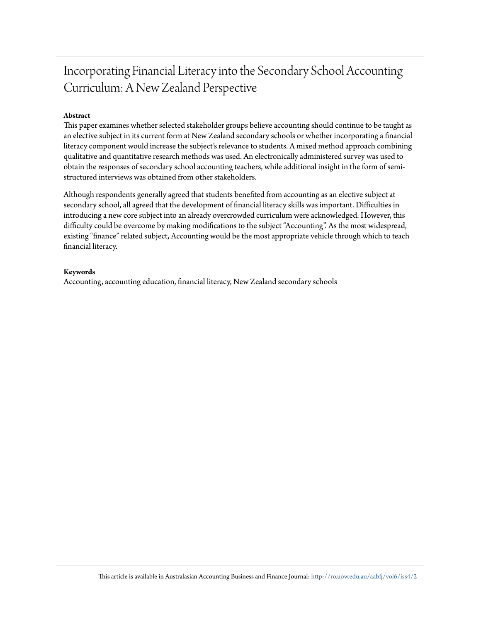### Incorporating Financial Literacy into the Secondary School Accounting Curriculum: A New Zealand Perspective

#### **Abstract**

This paper examines whether selected stakeholder groups believe accounting should continue to be taught as an elective subject in its current form at New Zealand secondary schools or whether incorporating a financial literacy component would increase the subject's relevance to students. A mixed method approach combining qualitative and quantitative research methods was used. An electronically administered survey was used to obtain the responses of secondary school accounting teachers, while additional insight in the form of semistructured interviews was obtained from other stakeholders.

Although respondents generally agreed that students benefited from accounting as an elective subject at secondary school, all agreed that the development of financial literacy skills was important. Difficulties in introducing a new core subject into an already overcrowded curriculum were acknowledged. However, this difficulty could be overcome by making modifications to the subject "Accounting". As the most widespread, existing "finance" related subject, Accounting would be the most appropriate vehicle through which to teach financial literacy.

#### **Keywords**

Accounting, accounting education, financial literacy, New Zealand secondary schools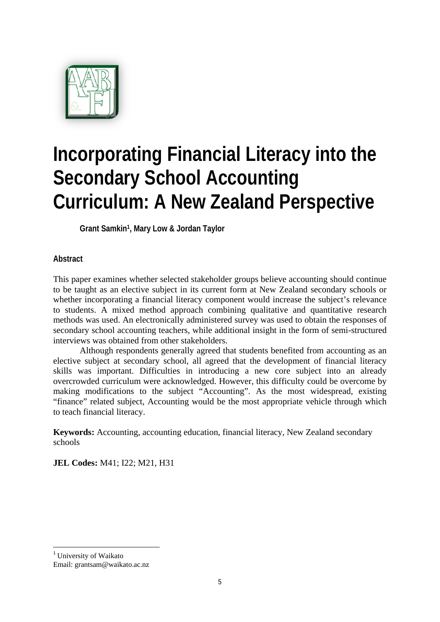

# **Incorporating Financial Literacy into the Secondary School Accounting Curriculum: A New Zealand Perspective**

**Grant Samkin1, Mary Low & Jordan Taylor** 

#### **Abstract**

This paper examines whether selected stakeholder groups believe accounting should continue to be taught as an elective subject in its current form at New Zealand secondary schools or whether incorporating a financial literacy component would increase the subject's relevance to students. A mixed method approach combining qualitative and quantitative research methods was used. An electronically administered survey was used to obtain the responses of secondary school accounting teachers, while additional insight in the form of semi-structured interviews was obtained from other stakeholders.

Although respondents generally agreed that students benefited from accounting as an elective subject at secondary school, all agreed that the development of financial literacy skills was important. Difficulties in introducing a new core subject into an already overcrowded curriculum were acknowledged. However, this difficulty could be overcome by making modifications to the subject "Accounting". As the most widespread, existing "finance" related subject, Accounting would be the most appropriate vehicle through which to teach financial literacy.

**Keywords:** Accounting, accounting education, financial literacy, New Zealand secondary schools

**JEL Codes:** M41; I22; M21, H31

 <sup>1</sup> University of Waikato Email: grantsam@waikato.ac.nz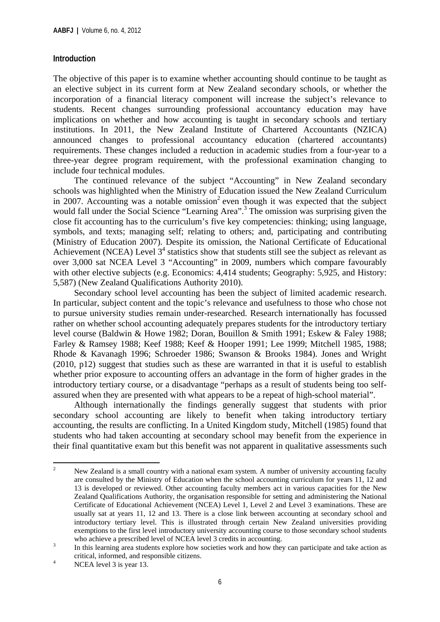#### **Introduction**

The objective of this paper is to examine whether accounting should continue to be taught as an elective subject in its current form at New Zealand secondary schools, or whether the incorporation of a financial literacy component will increase the subject's relevance to students. Recent changes surrounding professional accountancy education may have implications on whether and how accounting is taught in secondary schools and tertiary institutions. In 2011, the New Zealand Institute of Chartered Accountants (NZICA) announced changes to professional accountancy education (chartered accountants) requirements. These changes included a reduction in academic studies from a four-year to a three-year degree program requirement, with the professional examination changing to include four technical modules.

The continued relevance of the subject "Accounting" in New Zealand secondary schools was highlighted when the Ministry of Education issued the New Zealand Curriculum in 2007. Accounting was a notable omission<sup>2</sup> even though it was expected that the subject would fall under the Social Science "Learning Area".<sup>3</sup> The omission was surprising given the close fit accounting has to the curriculum's five key competencies: thinking; using language, symbols, and texts; managing self; relating to others; and, participating and contributing (Ministry of Education 2007). Despite its omission, the National Certificate of Educational Achievement (NCEA) Level  $3<sup>4</sup>$  statistics show that students still see the subject as relevant as over 3,000 sat NCEA Level 3 "Accounting" in 2009, numbers which compare favourably with other elective subjects (e.g. Economics: 4,414 students; Geography: 5,925, and History: 5,587) (New Zealand Qualifications Authority 2010).

Secondary school level accounting has been the subject of limited academic research. In particular, subject content and the topic's relevance and usefulness to those who chose not to pursue university studies remain under-researched. Research internationally has focussed rather on whether school accounting adequately prepares students for the introductory tertiary level course (Baldwin & Howe 1982; Doran, Bouillon & Smith 1991; Eskew & Faley 1988; Farley & Ramsey 1988; Keef 1988; Keef & Hooper 1991; Lee 1999; Mitchell 1985, 1988; Rhode & Kavanagh 1996; Schroeder 1986; Swanson & Brooks 1984). Jones and Wright (2010, p12) suggest that studies such as these are warranted in that it is useful to establish whether prior exposure to accounting offers an advantage in the form of higher grades in the introductory tertiary course, or a disadvantage "perhaps as a result of students being too selfassured when they are presented with what appears to be a repeat of high-school material".

Although internationally the findings generally suggest that students with prior secondary school accounting are likely to benefit when taking introductory tertiary accounting, the results are conflicting. In a United Kingdom study, Mitchell (1985) found that students who had taken accounting at secondary school may benefit from the experience in their final quantitative exam but this benefit was not apparent in qualitative assessments such

<sup>2</sup> New Zealand is a small country with a national exam system. A number of university accounting faculty are consulted by the Ministry of Education when the school accounting curriculum for years 11, 12 and 13 is developed or reviewed. Other accounting faculty members act in various capacities for the New Zealand Qualifications Authority, the organisation responsible for setting and administering the National Certificate of Educational Achievement (NCEA) Level 1, Level 2 and Level 3 examinations. These are usually sat at years 11, 12 and 13. There is a close link between accounting at secondary school and introductory tertiary level. This is illustrated through certain New Zealand universities providing exemptions to the first level introductory university accounting course to those secondary school students who achieve a prescribed level of NCEA level 3 credits in accounting.<br>
In this learning case students surface how sociation well and have then

In this learning area students explore how societies work and how they can participate and take action as critical, informed, and responsible citizens.

NCEA level 3 is year 13.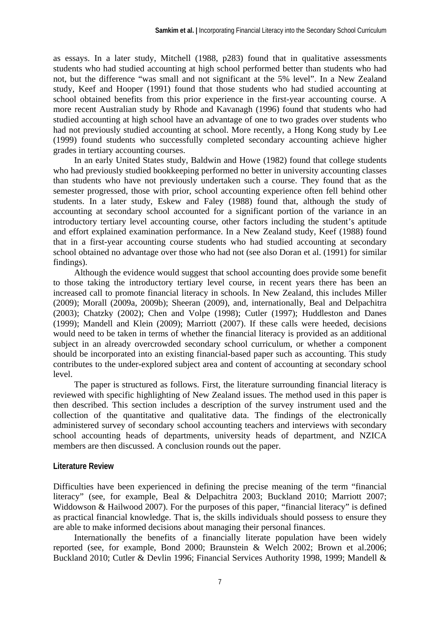as essays. In a later study, Mitchell (1988, p283) found that in qualitative assessments students who had studied accounting at high school performed better than students who had not, but the difference "was small and not significant at the 5% level". In a New Zealand study, Keef and Hooper (1991) found that those students who had studied accounting at school obtained benefits from this prior experience in the first-year accounting course. A more recent Australian study by Rhode and Kavanagh (1996) found that students who had studied accounting at high school have an advantage of one to two grades over students who had not previously studied accounting at school. More recently, a Hong Kong study by Lee (1999) found students who successfully completed secondary accounting achieve higher grades in tertiary accounting courses.

In an early United States study, Baldwin and Howe (1982) found that college students who had previously studied bookkeeping performed no better in university accounting classes than students who have not previously undertaken such a course. They found that as the semester progressed, those with prior, school accounting experience often fell behind other students. In a later study, Eskew and Faley (1988) found that, although the study of accounting at secondary school accounted for a significant portion of the variance in an introductory tertiary level accounting course, other factors including the student's aptitude and effort explained examination performance. In a New Zealand study, Keef (1988) found that in a first-year accounting course students who had studied accounting at secondary school obtained no advantage over those who had not (see also Doran et al. (1991) for similar findings).

Although the evidence would suggest that school accounting does provide some benefit to those taking the introductory tertiary level course, in recent years there has been an increased call to promote financial literacy in schools. In New Zealand, this includes Miller (2009); Morall (2009a, 2009b); Sheeran (2009), and, internationally, Beal and Delpachitra (2003); Chatzky (2002); Chen and Volpe (1998); Cutler (1997); Huddleston and Danes (1999); Mandell and Klein (2009); Marriott (2007). If these calls were heeded, decisions would need to be taken in terms of whether the financial literacy is provided as an additional subject in an already overcrowded secondary school curriculum, or whether a component should be incorporated into an existing financial-based paper such as accounting. This study contributes to the under-explored subject area and content of accounting at secondary school level.

The paper is structured as follows. First, the literature surrounding financial literacy is reviewed with specific highlighting of New Zealand issues. The method used in this paper is then described. This section includes a description of the survey instrument used and the collection of the quantitative and qualitative data. The findings of the electronically administered survey of secondary school accounting teachers and interviews with secondary school accounting heads of departments, university heads of department, and NZICA members are then discussed. A conclusion rounds out the paper.

#### **Literature Review**

Difficulties have been experienced in defining the precise meaning of the term "financial literacy" (see, for example, Beal & Delpachitra 2003; Buckland 2010; Marriott 2007; Widdowson & Hailwood 2007). For the purposes of this paper, "financial literacy" is defined as practical financial knowledge. That is, the skills individuals should possess to ensure they are able to make informed decisions about managing their personal finances.

Internationally the benefits of a financially literate population have been widely reported (see, for example, Bond 2000; Braunstein & Welch 2002; Brown et al.2006; Buckland 2010; Cutler & Devlin 1996; Financial Services Authority 1998, 1999; Mandell &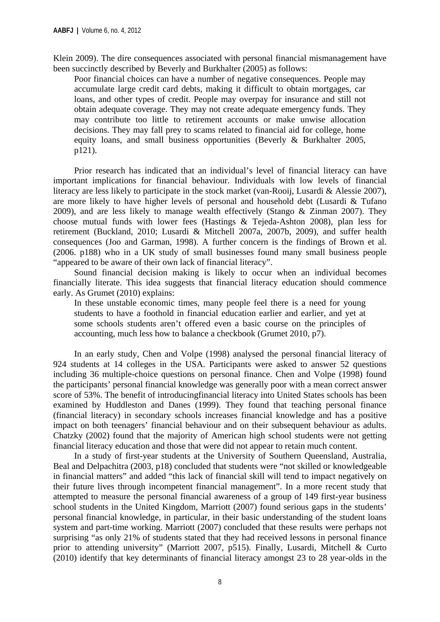Klein 2009). The dire consequences associated with personal financial mismanagement have been succinctly described by Beverly and Burkhalter (2005) as follows:

Poor financial choices can have a number of negative consequences. People may accumulate large credit card debts, making it difficult to obtain mortgages, car loans, and other types of credit. People may overpay for insurance and still not obtain adequate coverage. They may not create adequate emergency funds. They may contribute too little to retirement accounts or make unwise allocation decisions. They may fall prey to scams related to financial aid for college, home equity loans, and small business opportunities (Beverly & Burkhalter 2005, p121).

Prior research has indicated that an individual's level of financial literacy can have important implications for financial behaviour. Individuals with low levels of financial literacy are less likely to participate in the stock market (van-Rooij, Lusardi & Alessie 2007), are more likely to have higher levels of personal and household debt (Lusardi & Tufano 2009), and are less likely to manage wealth effectively (Stango & Zinman 2007). They choose mutual funds with lower fees (Hastings & Tejeda-Ashton 2008), plan less for retirement (Buckland, 2010; Lusardi & Mitchell 2007a, 2007b, 2009), and suffer health consequences (Joo and Garman, 1998). A further concern is the findings of Brown et al. (2006. p188) who in a UK study of small businesses found many small business people "appeared to be aware of their own lack of financial literacy".

Sound financial decision making is likely to occur when an individual becomes financially literate. This idea suggests that financial literacy education should commence early. As Grumet (2010) explains:

In these unstable economic times, many people feel there is a need for young students to have a foothold in financial education earlier and earlier, and yet at some schools students aren't offered even a basic course on the principles of accounting, much less how to balance a checkbook (Grumet 2010, p7).

In an early study, Chen and Volpe (1998) analysed the personal financial literacy of 924 students at 14 colleges in the USA. Participants were asked to answer 52 questions including 36 multiple-choice questions on personal finance. Chen and Volpe (1998) found the participants' personal financial knowledge was generally poor with a mean correct answer score of 53%. The benefit of introducingfinancial literacy into United States schools has been examined by Huddleston and Danes (1999). They found that teaching personal finance (financial literacy) in secondary schools increases financial knowledge and has a positive impact on both teenagers' financial behaviour and on their subsequent behaviour as adults. Chatzky (2002) found that the majority of American high school students were not getting financial literacy education and those that were did not appear to retain much content.

In a study of first-year students at the University of Southern Queensland, Australia, Beal and Delpachitra (2003, p18) concluded that students were "not skilled or knowledgeable in financial matters" and added "this lack of financial skill will tend to impact negatively on their future lives through incompetent financial management". In a more recent study that attempted to measure the personal financial awareness of a group of 149 first-year business school students in the United Kingdom, Marriott (2007) found serious gaps in the students' personal financial knowledge, in particular, in their basic understanding of the student loans system and part-time working. Marriott (2007) concluded that these results were perhaps not surprising "as only 21% of students stated that they had received lessons in personal finance prior to attending university" (Marriott 2007, p515). Finally, Lusardi, Mitchell & Curto (2010) identify that key determinants of financial literacy amongst 23 to 28 year-olds in the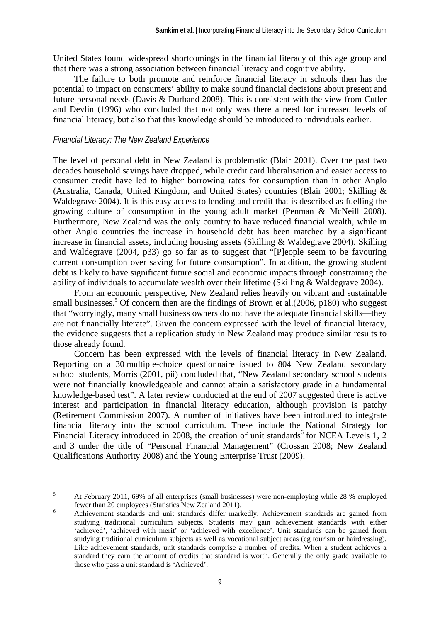United States found widespread shortcomings in the financial literacy of this age group and that there was a strong association between financial literacy and cognitive ability.

The failure to both promote and reinforce financial literacy in schools then has the potential to impact on consumers' ability to make sound financial decisions about present and future personal needs (Davis & Durband 2008). This is consistent with the view from Cutler and Devlin (1996) who concluded that not only was there a need for increased levels of financial literacy, but also that this knowledge should be introduced to individuals earlier.

#### *Financial Literacy: The New Zealand Experience*

The level of personal debt in New Zealand is problematic (Blair 2001). Over the past two decades household savings have dropped, while credit card liberalisation and easier access to consumer credit have led to higher borrowing rates for consumption than in other Anglo (Australia, Canada, United Kingdom, and United States) countries (Blair 2001; Skilling & Waldegrave 2004). It is this easy access to lending and credit that is described as fuelling the growing culture of consumption in the young adult market (Penman & McNeill 2008). Furthermore, New Zealand was the only country to have reduced financial wealth, while in other Anglo countries the increase in household debt has been matched by a significant increase in financial assets, including housing assets (Skilling & Waldegrave 2004). Skilling and Waldegrave (2004, p33) go so far as to suggest that "[P]eople seem to be favouring current consumption over saving for future consumption". In addition, the growing student debt is likely to have significant future social and economic impacts through constraining the ability of individuals to accumulate wealth over their lifetime (Skilling & Waldegrave 2004).

From an economic perspective, New Zealand relies heavily on vibrant and sustainable small businesses.<sup>5</sup> Of concern then are the findings of Brown et al.(2006, p180) who suggest that "worryingly, many small business owners do not have the adequate financial skills—they are not financially literate". Given the concern expressed with the level of financial literacy, the evidence suggests that a replication study in New Zealand may produce similar results to those already found.

Concern has been expressed with the levels of financial literacy in New Zealand. Reporting on a 30 multiple-choice questionnaire issued to 804 New Zealand secondary school students, Morris (2001, pii) concluded that, "New Zealand secondary school students were not financially knowledgeable and cannot attain a satisfactory grade in a fundamental knowledge-based test". A later review conducted at the end of 2007 suggested there is active interest and participation in financial literacy education, although provision is patchy (Retirement Commission 2007). A number of initiatives have been introduced to integrate financial literacy into the school curriculum. These include the National Strategy for Financial Literacy introduced in 2008, the creation of unit standards<sup>6</sup> for NCEA Levels 1, 2 and 3 under the title of "Personal Financial Management" (Crossan 2008; New Zealand Qualifications Authority 2008) and the Young Enterprise Trust (2009).

 5 At February 2011, 69% of all enterprises (small businesses) were non-employing while 28 % employed fewer than 20 employees (Statistics New Zealand 2011). 6

Achievement standards and unit standards differ markedly. Achievement standards are gained from studying traditional curriculum subjects. Students may gain achievement standards with either 'achieved', 'achieved with merit' or 'achieved with excellence'. Unit standards can be gained from studying traditional curriculum subjects as well as vocational subject areas (eg tourism or hairdressing). Like achievement standards, unit standards comprise a number of credits. When a student achieves a standard they earn the amount of credits that standard is worth. Generally the only grade available to those who pass a unit standard is 'Achieved'.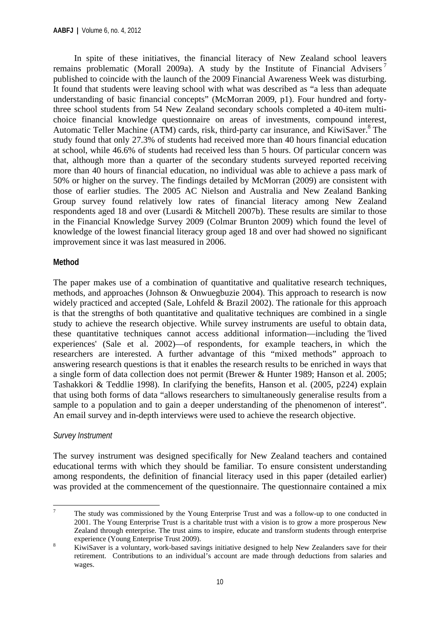In spite of these initiatives, the financial literacy of New Zealand school leavers remains problematic (Morall 2009a). A study by the Institute of Financial Advisers<sup>7</sup> published to coincide with the launch of the 2009 Financial Awareness Week was disturbing. It found that students were leaving school with what was described as "a less than adequate understanding of basic financial concepts" (McMorran 2009, p1). Four hundred and fortythree school students from 54 New Zealand secondary schools completed a 40-item multichoice financial knowledge questionnaire on areas of investments, compound interest, Automatic Teller Machine (ATM) cards, risk, third-party car insurance, and KiwiSaver.<sup>8</sup> The study found that only 27.3% of students had received more than 40 hours financial education at school, while 46.6% of students had received less than 5 hours. Of particular concern was that, although more than a quarter of the secondary students surveyed reported receiving more than 40 hours of financial education, no individual was able to achieve a pass mark of 50% or higher on the survey. The findings detailed by McMorran (2009) are consistent with those of earlier studies. The 2005 AC Nielson and Australia and New Zealand Banking Group survey found relatively low rates of financial literacy among New Zealand respondents aged 18 and over (Lusardi & Mitchell 2007b). These results are similar to those in the Financial Knowledge Survey 2009 (Colmar Brunton 2009) which found the level of knowledge of the lowest financial literacy group aged 18 and over had showed no significant improvement since it was last measured in 2006.

#### **Method**

The paper makes use of a combination of quantitative and qualitative research techniques, methods, and approaches (Johnson & Onwuegbuzie 2004). This approach to research is now widely practiced and accepted (Sale, Lohfeld & Brazil 2002). The rationale for this approach is that the strengths of both quantitative and qualitative techniques are combined in a single study to achieve the research objective. While survey instruments are useful to obtain data, these quantitative techniques cannot access additional information—including the 'lived experiences' (Sale et al. 2002)—of respondents, for example teachers, in which the researchers are interested. A further advantage of this "mixed methods" approach to answering research questions is that it enables the research results to be enriched in ways that a single form of data collection does not permit (Brewer & Hunter 1989; Hanson et al. 2005; Tashakkori & Teddlie 1998). In clarifying the benefits, Hanson et al. (2005, p224) explain that using both forms of data "allows researchers to simultaneously generalise results from a sample to a population and to gain a deeper understanding of the phenomenon of interest". An email survey and in-depth interviews were used to achieve the research objective.

#### *Survey Instrument*

The survey instrument was designed specifically for New Zealand teachers and contained educational terms with which they should be familiar. To ensure consistent understanding among respondents, the definition of financial literacy used in this paper (detailed earlier) was provided at the commencement of the questionnaire. The questionnaire contained a mix

 7 The study was commissioned by the Young Enterprise Trust and was a follow-up to one conducted in 2001. The Young Enterprise Trust is a charitable trust with a vision is to grow a more prosperous New Zealand through enterprise. The trust aims to inspire, educate and transform students through enterprise experience (Young Enterprise Trust 2009).<br> $V^{\text{inv}}$ Sover is a voluntary work based some

KiwiSaver is a voluntary, work-based savings initiative designed to help New Zealanders save for their retirement. Contributions to an individual's account are made through deductions from salaries and wages.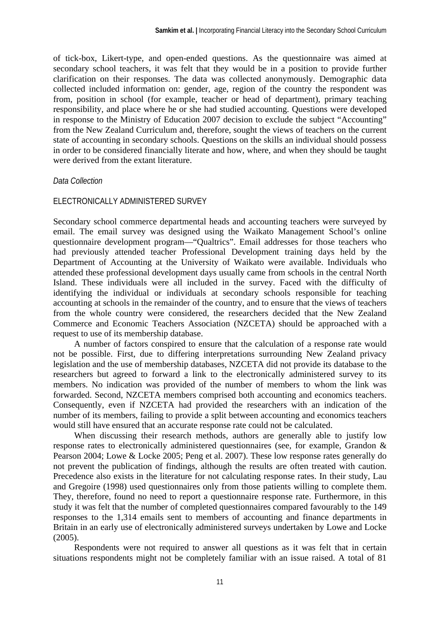of tick-box, Likert-type, and open-ended questions. As the questionnaire was aimed at secondary school teachers, it was felt that they would be in a position to provide further clarification on their responses. The data was collected anonymously. Demographic data collected included information on: gender, age, region of the country the respondent was from, position in school (for example, teacher or head of department), primary teaching responsibility, and place where he or she had studied accounting. Questions were developed in response to the Ministry of Education 2007 decision to exclude the subject "Accounting" from the New Zealand Curriculum and, therefore, sought the views of teachers on the current state of accounting in secondary schools. Questions on the skills an individual should possess in order to be considered financially literate and how, where, and when they should be taught were derived from the extant literature.

#### *Data Collection*

#### ELECTRONICALLY ADMINISTERED SURVEY

Secondary school commerce departmental heads and accounting teachers were surveyed by email. The email survey was designed using the Waikato Management School's online questionnaire development program—"Qualtrics". Email addresses for those teachers who had previously attended teacher Professional Development training days held by the Department of Accounting at the University of Waikato were available. Individuals who attended these professional development days usually came from schools in the central North Island. These individuals were all included in the survey. Faced with the difficulty of identifying the individual or individuals at secondary schools responsible for teaching accounting at schools in the remainder of the country, and to ensure that the views of teachers from the whole country were considered, the researchers decided that the New Zealand Commerce and Economic Teachers Association (NZCETA) should be approached with a request to use of its membership database.

A number of factors conspired to ensure that the calculation of a response rate would not be possible. First, due to differing interpretations surrounding New Zealand privacy legislation and the use of membership databases, NZCETA did not provide its database to the researchers but agreed to forward a link to the electronically administered survey to its members. No indication was provided of the number of members to whom the link was forwarded. Second, NZCETA members comprised both accounting and economics teachers. Consequently, even if NZCETA had provided the researchers with an indication of the number of its members, failing to provide a split between accounting and economics teachers would still have ensured that an accurate response rate could not be calculated.

When discussing their research methods, authors are generally able to justify low response rates to electronically administered questionnaires (see, for example, Grandon & Pearson 2004; Lowe & Locke 2005; Peng et al. 2007). These low response rates generally do not prevent the publication of findings, although the results are often treated with caution. Precedence also exists in the literature for not calculating response rates. In their study, Lau and Gregoire (1998) used questionnaires only from those patients willing to complete them. They, therefore, found no need to report a questionnaire response rate. Furthermore, in this study it was felt that the number of completed questionnaires compared favourably to the 149 responses to the 1,314 emails sent to members of accounting and finance departments in Britain in an early use of electronically administered surveys undertaken by Lowe and Locke (2005).

Respondents were not required to answer all questions as it was felt that in certain situations respondents might not be completely familiar with an issue raised. A total of 81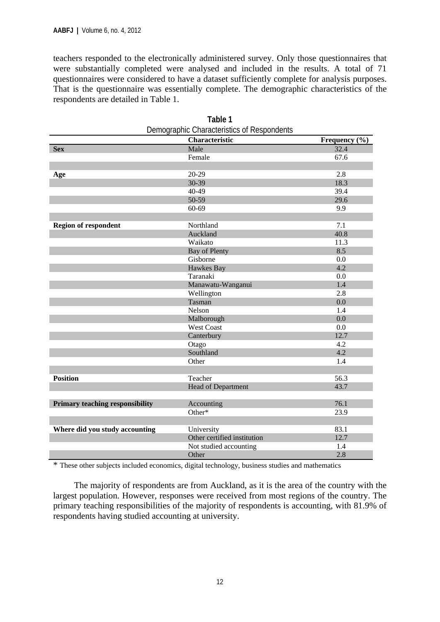teachers responded to the electronically administered survey. Only those questionnaires that were substantially completed were analysed and included in the results. A total of 71 questionnaires were considered to have a dataset sufficiently complete for analysis purposes. That is the questionnaire was essentially complete. The demographic characteristics of the respondents are detailed in Table 1.

|                                        | Characteristic              | Frequency $(\% )$ |
|----------------------------------------|-----------------------------|-------------------|
| <b>Sex</b>                             | Male                        | 32.4              |
|                                        | Female                      | 67.6              |
|                                        |                             |                   |
| Age                                    | 20-29                       | 2.8               |
|                                        | $30-39$                     | 18.3              |
|                                        | 40-49                       | 39.4              |
|                                        | 50-59                       | 29.6              |
|                                        | $60 - 69$                   | 9.9               |
|                                        |                             |                   |
| <b>Region of respondent</b>            | Northland                   | 7.1               |
|                                        | Auckland                    | 40.8              |
|                                        | Waikato                     | 11.3              |
|                                        | Bay of Plenty               | 8.5               |
|                                        | Gisborne                    | 0.0               |
|                                        | <b>Hawkes Bay</b>           | 4.2               |
|                                        | Taranaki                    | 0.0               |
|                                        | Manawatu-Wanganui           | 1.4               |
|                                        | Wellington                  | 2.8               |
|                                        | Tasman                      | 0.0               |
|                                        | Nelson                      | 1.4               |
|                                        | Malborough                  | 0.0               |
|                                        | <b>West Coast</b>           | 0.0               |
|                                        | Canterbury                  | 12.7              |
|                                        | Otago                       | 4.2               |
|                                        | Southland                   | 4.2               |
|                                        | Other                       | 1.4               |
|                                        |                             |                   |
| <b>Position</b>                        | Teacher                     | 56.3              |
|                                        | Head of Department          | 43.7              |
|                                        |                             |                   |
| <b>Primary teaching responsibility</b> | Accounting                  | 76.1              |
|                                        | Other*                      | 23.9              |
|                                        |                             |                   |
| Where did you study accounting         | University                  | 83.1              |
|                                        | Other certified institution | 12.7              |
|                                        | Not studied accounting      | 1.4               |
|                                        | Other                       | 2.8               |

| Table 1                                    |
|--------------------------------------------|
| Demographic Characteristics of Respondents |

\* These other subjects included economics, digital technology, business studies and mathematics

The majority of respondents are from Auckland, as it is the area of the country with the largest population. However, responses were received from most regions of the country. The primary teaching responsibilities of the majority of respondents is accounting, with 81.9% of respondents having studied accounting at university.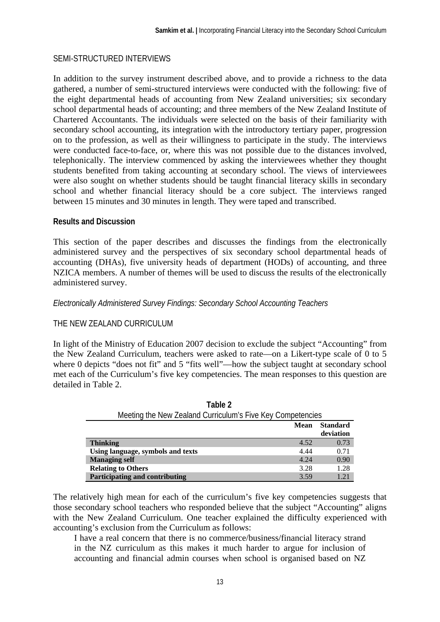#### SEMI-STRUCTURED INTERVIEWS

In addition to the survey instrument described above, and to provide a richness to the data gathered, a number of semi-structured interviews were conducted with the following: five of the eight departmental heads of accounting from New Zealand universities; six secondary school departmental heads of accounting; and three members of the New Zealand Institute of Chartered Accountants. The individuals were selected on the basis of their familiarity with secondary school accounting, its integration with the introductory tertiary paper, progression on to the profession, as well as their willingness to participate in the study. The interviews were conducted face-to-face, or, where this was not possible due to the distances involved, telephonically. The interview commenced by asking the interviewees whether they thought students benefited from taking accounting at secondary school. The views of interviewees were also sought on whether students should be taught financial literacy skills in secondary school and whether financial literacy should be a core subject. The interviews ranged between 15 minutes and 30 minutes in length. They were taped and transcribed.

#### **Results and Discussion**

This section of the paper describes and discusses the findings from the electronically administered survey and the perspectives of six secondary school departmental heads of accounting (DHAs), five university heads of department (HODs) of accounting, and three NZICA members. A number of themes will be used to discuss the results of the electronically administered survey.

#### *Electronically Administered Survey Findings: Secondary School Accounting Teachers*

#### THE NEW ZEALAND CURRICULUM

In light of the Ministry of Education 2007 decision to exclude the subject "Accounting" from the New Zealand Curriculum, teachers were asked to rate—on a Likert-type scale of 0 to 5 where 0 depicts "does not fit" and 5 "fits well"—how the subject taught at secondary school met each of the Curriculum's five key competencies. The mean responses to this question are detailed in Table 2.

| Meeting the New Zealand Curriculum's Five Key Competencies |             |                 |  |  |  |
|------------------------------------------------------------|-------------|-----------------|--|--|--|
|                                                            | <b>Mean</b> | <b>Standard</b> |  |  |  |
|                                                            |             | deviation       |  |  |  |
| <b>Thinking</b>                                            | 4.52        | 0.73            |  |  |  |
| Using language, symbols and texts                          | 4.44        | 0.71            |  |  |  |
| <b>Managing self</b>                                       | 4.24        | 0.90            |  |  |  |
| <b>Relating to Others</b>                                  | 3.28        | 1.28            |  |  |  |
| Participating and contributing                             | 3.59        | 1.21            |  |  |  |

| Table 2                                                    |
|------------------------------------------------------------|
| Meeting the New Zealand Curriculum's Five Key Competencies |

The relatively high mean for each of the curriculum's five key competencies suggests that those secondary school teachers who responded believe that the subject "Accounting" aligns with the New Zealand Curriculum. One teacher explained the difficulty experienced with accounting's exclusion from the Curriculum as follows:

I have a real concern that there is no commerce/business/financial literacy strand in the NZ curriculum as this makes it much harder to argue for inclusion of accounting and financial admin courses when school is organised based on NZ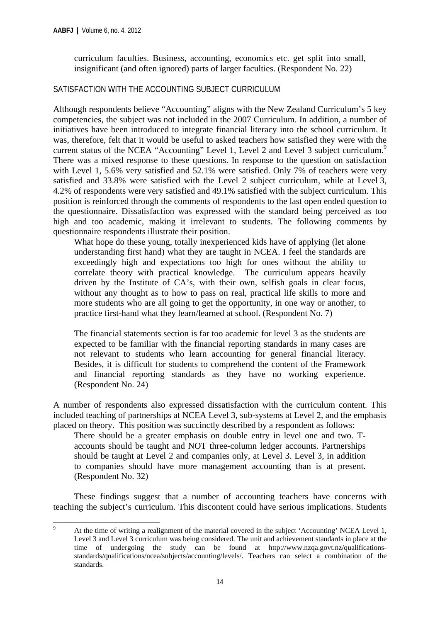curriculum faculties. Business, accounting, economics etc. get split into small, insignificant (and often ignored) parts of larger faculties. (Respondent No. 22)

#### SATISFACTION WITH THE ACCOUNTING SUBJECT CURRICULUM

Although respondents believe "Accounting" aligns with the New Zealand Curriculum's 5 key competencies, the subject was not included in the 2007 Curriculum. In addition, a number of initiatives have been introduced to integrate financial literacy into the school curriculum. It was, therefore, felt that it would be useful to asked teachers how satisfied they were with the current status of the NCEA "Accounting" Level 1, Level 2 and Level 3 subject curriculum.<sup>9</sup> There was a mixed response to these questions. In response to the question on satisfaction with Level 1, 5.6% very satisfied and 52.1% were satisfied. Only 7% of teachers were very satisfied and 33.8% were satisfied with the Level 2 subject curriculum, while at Level 3, 4.2% of respondents were very satisfied and 49.1% satisfied with the subject curriculum. This position is reinforced through the comments of respondents to the last open ended question to the questionnaire. Dissatisfaction was expressed with the standard being perceived as too high and too academic, making it irrelevant to students. The following comments by questionnaire respondents illustrate their position.

What hope do these young, totally inexperienced kids have of applying (let alone understanding first hand) what they are taught in NCEA. I feel the standards are exceedingly high and expectations too high for ones without the ability to correlate theory with practical knowledge. The curriculum appears heavily driven by the Institute of CA's, with their own, selfish goals in clear focus, without any thought as to how to pass on real, practical life skills to more and more students who are all going to get the opportunity, in one way or another, to practice first-hand what they learn/learned at school. (Respondent No. 7)

The financial statements section is far too academic for level 3 as the students are expected to be familiar with the financial reporting standards in many cases are not relevant to students who learn accounting for general financial literacy. Besides, it is difficult for students to comprehend the content of the Framework and financial reporting standards as they have no working experience. (Respondent No. 24)

A number of respondents also expressed dissatisfaction with the curriculum content. This included teaching of partnerships at NCEA Level 3, sub-systems at Level 2, and the emphasis placed on theory. This position was succinctly described by a respondent as follows:

There should be a greater emphasis on double entry in level one and two. Taccounts should be taught and NOT three-column ledger accounts. Partnerships should be taught at Level 2 and companies only, at Level 3. Level 3, in addition to companies should have more management accounting than is at present. (Respondent No. 32)

These findings suggest that a number of accounting teachers have concerns with teaching the subject's curriculum. This discontent could have serious implications. Students

  $\alpha$  At the time of writing a realignment of the material covered in the subject 'Accounting' NCEA Level 1, Level 3 and Level 3 curriculum was being considered. The unit and achievement standards in place at the time of undergoing the study can be found at http://www.nzqa.govt.nz/qualificationsstandards/qualifications/ncea/subjects/accounting/levels/. Teachers can select a combination of the standards.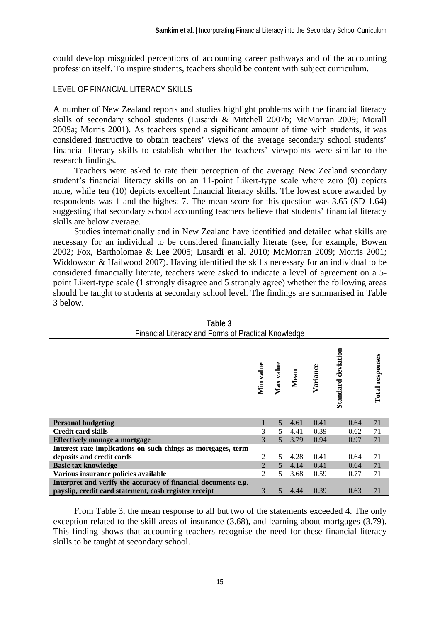could develop misguided perceptions of accounting career pathways and of the accounting profession itself. To inspire students, teachers should be content with subject curriculum.

#### LEVEL OF FINANCIAL LITERACY SKILLS

A number of New Zealand reports and studies highlight problems with the financial literacy skills of secondary school students (Lusardi & Mitchell 2007b; McMorran 2009; Morall 2009a; Morris 2001). As teachers spend a significant amount of time with students, it was considered instructive to obtain teachers' views of the average secondary school students' financial literacy skills to establish whether the teachers' viewpoints were similar to the research findings.

Teachers were asked to rate their perception of the average New Zealand secondary student's financial literacy skills on an 11-point Likert-type scale where zero (0) depicts none, while ten (10) depicts excellent financial literacy skills. The lowest score awarded by respondents was 1 and the highest 7. The mean score for this question was 3.65 (SD 1.64) suggesting that secondary school accounting teachers believe that students' financial literacy skills are below average.

Studies internationally and in New Zealand have identified and detailed what skills are necessary for an individual to be considered financially literate (see, for example, Bowen 2002; Fox, Bartholomae & Lee 2005; Lusardi et al. 2010; McMorran 2009; Morris 2001; Widdowson & Hailwood 2007). Having identified the skills necessary for an individual to be considered financially literate, teachers were asked to indicate a level of agreement on a 5 point Likert-type scale (1 strongly disagree and 5 strongly agree) whether the following areas should be taught to students at secondary school level. The findings are summarised in Table 3 below.

|                                                               | Min value                   | Max value     | Mean | Variance | <b>Standard deviation</b> | Total responses |
|---------------------------------------------------------------|-----------------------------|---------------|------|----------|---------------------------|-----------------|
| <b>Personal budgeting</b>                                     |                             | 5             | 4.61 | 0.41     | 0.64                      | 71              |
| <b>Credit card skills</b>                                     | 3                           | 5             | 4.41 | 0.39     | 0.62                      | 71              |
| Effectively manage a mortgage                                 | 3                           | 5             | 3.79 | 0.94     | 0.97                      | 71              |
| Interest rate implications on such things as mortgages, term  |                             |               |      |          |                           |                 |
| deposits and credit cards                                     | 2                           | 5             | 4.28 | 0.41     | 0.64                      | 71              |
| <b>Basic tax knowledge</b>                                    | $\mathcal{L}$               | $\mathcal{F}$ | 4.14 | 0.41     | 0.64                      | 71              |
| Various insurance policies available                          | $\mathcal{D}_{\mathcal{L}}$ | 5             | 3.68 | 0.59     | 0.77                      | 71              |
| Interpret and verify the accuracy of financial documents e.g. |                             |               |      |          |                           |                 |
| payslip, credit card statement, cash register receipt         | 3                           | 5             | 4.44 | 0.39     | 0.63                      | 71              |

| Table 3                                             |  |
|-----------------------------------------------------|--|
| Financial Literacy and Forms of Practical Knowledge |  |

From Table 3, the mean response to all but two of the statements exceeded 4. The only exception related to the skill areas of insurance (3.68), and learning about mortgages (3.79). This finding shows that accounting teachers recognise the need for these financial literacy skills to be taught at secondary school.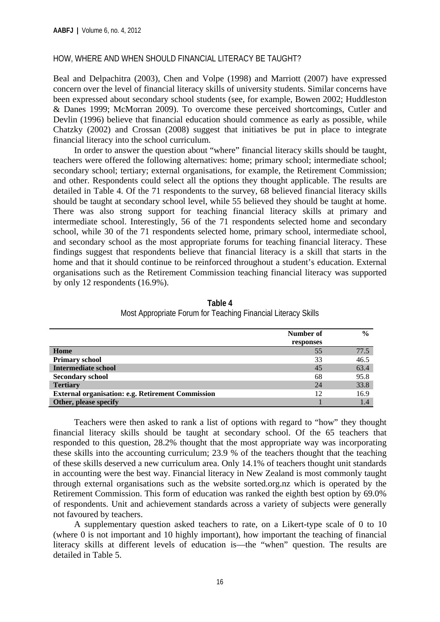#### HOW, WHERE AND WHEN SHOULD FINANCIAL LITERACY BE TAUGHT?

Beal and Delpachitra (2003), Chen and Volpe (1998) and Marriott (2007) have expressed concern over the level of financial literacy skills of university students. Similar concerns have been expressed about secondary school students (see, for example, Bowen 2002; Huddleston & Danes 1999; McMorran 2009). To overcome these perceived shortcomings, Cutler and Devlin (1996) believe that financial education should commence as early as possible, while Chatzky (2002) and Crossan (2008) suggest that initiatives be put in place to integrate financial literacy into the school curriculum.

In order to answer the question about "where" financial literacy skills should be taught, teachers were offered the following alternatives: home; primary school; intermediate school; secondary school; tertiary; external organisations, for example, the Retirement Commission; and other. Respondents could select all the options they thought applicable. The results are detailed in Table 4. Of the 71 respondents to the survey, 68 believed financial literacy skills should be taught at secondary school level, while 55 believed they should be taught at home. There was also strong support for teaching financial literacy skills at primary and intermediate school. Interestingly, 56 of the 71 respondents selected home and secondary school, while 30 of the 71 respondents selected home, primary school, intermediate school, and secondary school as the most appropriate forums for teaching financial literacy. These findings suggest that respondents believe that financial literacy is a skill that starts in the home and that it should continue to be reinforced throughout a student's education. External organisations such as the Retirement Commission teaching financial literacy was supported by only 12 respondents (16.9%).

|                                                          | Number of | $\frac{0}{0}$ |
|----------------------------------------------------------|-----------|---------------|
|                                                          | responses |               |
| Home                                                     | 55        | 77.5          |
| <b>Primary school</b>                                    | 33        | 46.5          |
| <b>Intermediate school</b>                               | 45        | 63.4          |
| <b>Secondary school</b>                                  | 68        | 95.8          |
| <b>Tertiary</b>                                          | 24        | 33.8          |
| <b>External organisation: e.g. Retirement Commission</b> | 12        | 16.9          |
| Other, please specify                                    |           |               |

**Table 4** Most Appropriate Forum for Teaching Financial Literacy Skills

Teachers were then asked to rank a list of options with regard to "how" they thought financial literacy skills should be taught at secondary school. Of the 65 teachers that responded to this question, 28.2% thought that the most appropriate way was incorporating these skills into the accounting curriculum; 23.9 % of the teachers thought that the teaching of these skills deserved a new curriculum area. Only 14.1% of teachers thought unit standards in accounting were the best way. Financial literacy in New Zealand is most commonly taught through external organisations such as the website sorted.org.nz which is operated by the Retirement Commission. This form of education was ranked the eighth best option by 69.0% of respondents. Unit and achievement standards across a variety of subjects were generally not favoured by teachers.

A supplementary question asked teachers to rate, on a Likert-type scale of 0 to 10 (where 0 is not important and 10 highly important), how important the teaching of financial literacy skills at different levels of education is—the "when" question. The results are detailed in Table 5.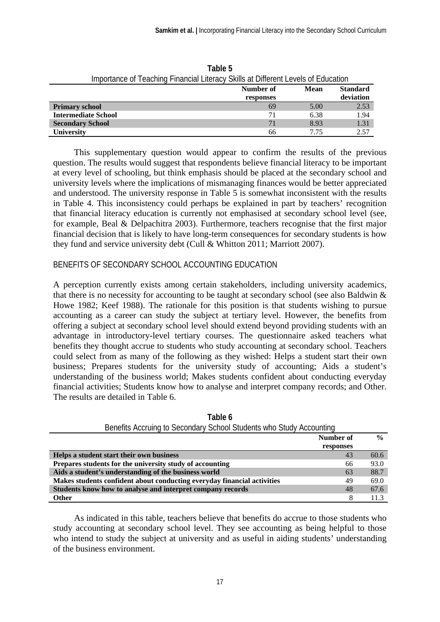| triportance of Teaching Financial Literacy Skills at Different Levels of Equcation |           |      |                 |  |  |  |  |
|------------------------------------------------------------------------------------|-----------|------|-----------------|--|--|--|--|
|                                                                                    | Number of | Mean | <b>Standard</b> |  |  |  |  |
|                                                                                    | responses |      | deviation       |  |  |  |  |
| <b>Primary school</b>                                                              | 69        | 5.00 | 2.53            |  |  |  |  |
| <b>Intermediate School</b>                                                         |           | 6.38 | 1.94            |  |  |  |  |
| <b>Secondary School</b>                                                            | 71        | 8.93 | 1.31            |  |  |  |  |
| <b>University</b>                                                                  | 66        | 7.75 | 2.57            |  |  |  |  |

**Table 5** Importance of Teaching Financial Literacy Skills at Different Levels of Education

This supplementary question would appear to confirm the results of the previous question. The results would suggest that respondents believe financial literacy to be important at every level of schooling, but think emphasis should be placed at the secondary school and university levels where the implications of mismanaging finances would be better appreciated and understood. The university response in Table 5 is somewhat inconsistent with the results in Table 4. This inconsistency could perhaps be explained in part by teachers' recognition that financial literacy education is currently not emphasised at secondary school level (see, for example, Beal & Delpachitra 2003). Furthermore, teachers recognise that the first major financial decision that is likely to have long-term consequences for secondary students is how they fund and service university debt (Cull & Whitton 2011; Marriott 2007).

#### BENEFITS OF SECONDARY SCHOOL ACCOUNTING EDUCATION

A perception currently exists among certain stakeholders, including university academics, that there is no necessity for accounting to be taught at secondary school (see also Baldwin & Howe 1982; Keef 1988). The rationale for this position is that students wishing to pursue accounting as a career can study the subject at tertiary level. However, the benefits from offering a subject at secondary school level should extend beyond providing students with an advantage in introductory-level tertiary courses. The questionnaire asked teachers what benefits they thought accrue to students who study accounting at secondary school. Teachers could select from as many of the following as they wished: Helps a student start their own business; Prepares students for the university study of accounting; Aids a student's understanding of the business world; Makes students confident about conducting everyday financial activities; Students know how to analyse and interpret company records; and Other. The results are detailed in Table 6.

| <b>Deficited Acciding to Occorrugity Oction Otagents who Otagy Accogniting</b> |           |               |
|--------------------------------------------------------------------------------|-----------|---------------|
|                                                                                | Number of | $\frac{0}{0}$ |
|                                                                                | responses |               |
| Helps a student start their own business                                       | 43        | 60.6          |
| Prepares students for the university study of accounting                       | 66        | 93.0          |
| Aids a student's understanding of the business world                           | 63        | 88.7          |
| Makes students confident about conducting everyday financial activities        | 49        | 69.0          |
| Students know how to analyse and interpret company records                     | 48        | 67.6          |
| <b>Other</b>                                                                   | 8         | 11.3          |

**Table 6** Benefits Accruing to Secondary School Students who Study Accounting

As indicated in this table, teachers believe that benefits do accrue to those students who study accounting at secondary school level. They see accounting as being helpful to those who intend to study the subject at university and as useful in aiding students' understanding of the business environment.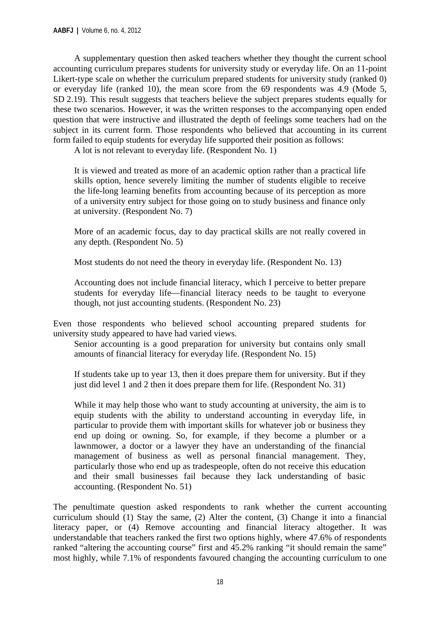A supplementary question then asked teachers whether they thought the current school accounting curriculum prepares students for university study or everyday life. On an 11-point Likert-type scale on whether the curriculum prepared students for university study (ranked 0) or everyday life (ranked 10), the mean score from the 69 respondents was 4.9 (Mode 5, SD 2.19). This result suggests that teachers believe the subject prepares students equally for these two scenarios. However, it was the written responses to the accompanying open ended question that were instructive and illustrated the depth of feelings some teachers had on the subject in its current form. Those respondents who believed that accounting in its current form failed to equip students for everyday life supported their position as follows:

A lot is not relevant to everyday life. (Respondent No. 1)

It is viewed and treated as more of an academic option rather than a practical life skills option, hence severely limiting the number of students eligible to receive the life-long learning benefits from accounting because of its perception as more of a university entry subject for those going on to study business and finance only at university. (Respondent No. 7)

More of an academic focus, day to day practical skills are not really covered in any depth. (Respondent No. 5)

Most students do not need the theory in everyday life. (Respondent No. 13)

Accounting does not include financial literacy, which I perceive to better prepare students for everyday life—financial literacy needs to be taught to everyone though, not just accounting students. (Respondent No. 23)

Even those respondents who believed school accounting prepared students for university study appeared to have had varied views.

Senior accounting is a good preparation for university but contains only small amounts of financial literacy for everyday life. (Respondent No. 15)

If students take up to year 13, then it does prepare them for university. But if they just did level 1 and 2 then it does prepare them for life. (Respondent No. 31)

While it may help those who want to study accounting at university, the aim is to equip students with the ability to understand accounting in everyday life, in particular to provide them with important skills for whatever job or business they end up doing or owning. So, for example, if they become a plumber or a lawnmower, a doctor or a lawyer they have an understanding of the financial management of business as well as personal financial management. They, particularly those who end up as tradespeople, often do not receive this education and their small businesses fail because they lack understanding of basic accounting. (Respondent No. 51)

The penultimate question asked respondents to rank whether the current accounting curriculum should (1) Stay the same, (2) Alter the content, (3) Change it into a financial literacy paper, or (4) Remove accounting and financial literacy altogether. It was understandable that teachers ranked the first two options highly, where 47.6% of respondents ranked "altering the accounting course" first and 45.2% ranking "it should remain the same" most highly, while 7.1% of respondents favoured changing the accounting curriculum to one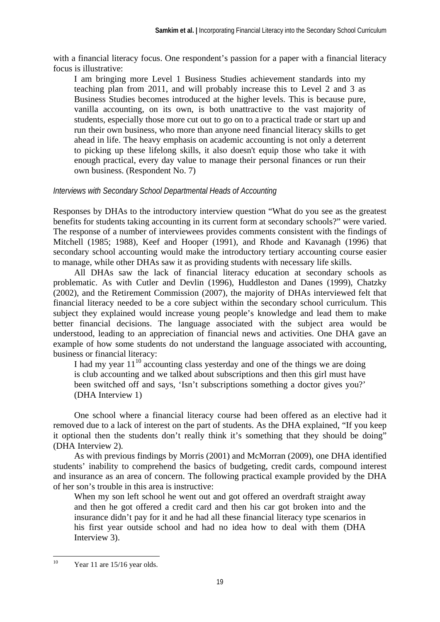with a financial literacy focus. One respondent's passion for a paper with a financial literacy focus is illustrative:

I am bringing more Level 1 Business Studies achievement standards into my teaching plan from 2011, and will probably increase this to Level 2 and 3 as Business Studies becomes introduced at the higher levels. This is because pure, vanilla accounting, on its own, is both unattractive to the vast majority of students, especially those more cut out to go on to a practical trade or start up and run their own business, who more than anyone need financial literacy skills to get ahead in life. The heavy emphasis on academic accounting is not only a deterrent to picking up these lifelong skills, it also doesn't equip those who take it with enough practical, every day value to manage their personal finances or run their own business. (Respondent No. 7)

#### *Interviews with Secondary School Departmental Heads of Accounting*

Responses by DHAs to the introductory interview question "What do you see as the greatest benefits for students taking accounting in its current form at secondary schools?" were varied. The response of a number of interviewees provides comments consistent with the findings of Mitchell (1985; 1988), Keef and Hooper (1991), and Rhode and Kavanagh (1996) that secondary school accounting would make the introductory tertiary accounting course easier to manage, while other DHAs saw it as providing students with necessary life skills.

All DHAs saw the lack of financial literacy education at secondary schools as problematic. As with Cutler and Devlin (1996), Huddleston and Danes (1999), Chatzky (2002), and the Retirement Commission (2007), the majority of DHAs interviewed felt that financial literacy needed to be a core subject within the secondary school curriculum. This subject they explained would increase young people's knowledge and lead them to make better financial decisions. The language associated with the subject area would be understood, leading to an appreciation of financial news and activities. One DHA gave an example of how some students do not understand the language associated with accounting, business or financial literacy:

I had my year  $11^{10}$  accounting class yesterday and one of the things we are doing is club accounting and we talked about subscriptions and then this girl must have been switched off and says, 'Isn't subscriptions something a doctor gives you?' (DHA Interview 1)

One school where a financial literacy course had been offered as an elective had it removed due to a lack of interest on the part of students. As the DHA explained, "If you keep it optional then the students don't really think it's something that they should be doing" (DHA Interview 2)*.*

As with previous findings by Morris (2001) and McMorran (2009), one DHA identified students' inability to comprehend the basics of budgeting, credit cards, compound interest and insurance as an area of concern. The following practical example provided by the DHA of her son's trouble in this area is instructive:

When my son left school he went out and got offered an overdraft straight away and then he got offered a credit card and then his car got broken into and the insurance didn't pay for it and he had all these financial literacy type scenarios in his first year outside school and had no idea how to deal with them (DHA Interview 3).

 <sup>10</sup> Year 11 are  $15/16$  year olds.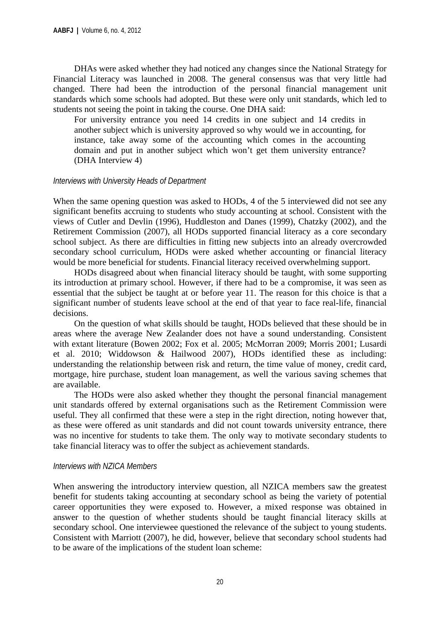DHAs were asked whether they had noticed any changes since the National Strategy for Financial Literacy was launched in 2008. The general consensus was that very little had changed. There had been the introduction of the personal financial management unit standards which some schools had adopted. But these were only unit standards, which led to students not seeing the point in taking the course. One DHA said:

For university entrance you need 14 credits in one subject and 14 credits in another subject which is university approved so why would we in accounting, for instance, take away some of the accounting which comes in the accounting domain and put in another subject which won't get them university entrance? (DHA Interview 4)

#### *Interviews with University Heads of Department*

When the same opening question was asked to HODs, 4 of the 5 interviewed did not see any significant benefits accruing to students who study accounting at school. Consistent with the views of Cutler and Devlin (1996), Huddleston and Danes (1999), Chatzky (2002), and the Retirement Commission (2007), all HODs supported financial literacy as a core secondary school subject. As there are difficulties in fitting new subjects into an already overcrowded secondary school curriculum, HODs were asked whether accounting or financial literacy would be more beneficial for students. Financial literacy received overwhelming support.

HODs disagreed about when financial literacy should be taught, with some supporting its introduction at primary school. However, if there had to be a compromise, it was seen as essential that the subject be taught at or before year 11. The reason for this choice is that a significant number of students leave school at the end of that year to face real-life, financial decisions.

On the question of what skills should be taught, HODs believed that these should be in areas where the average New Zealander does not have a sound understanding. Consistent with extant literature (Bowen 2002; Fox et al. 2005; McMorran 2009; Morris 2001; Lusardi et al. 2010; Widdowson & Hailwood 2007), HODs identified these as including: understanding the relationship between risk and return, the time value of money, credit card, mortgage, hire purchase, student loan management, as well the various saving schemes that are available.

The HODs were also asked whether they thought the personal financial management unit standards offered by external organisations such as the Retirement Commission were useful. They all confirmed that these were a step in the right direction, noting however that, as these were offered as unit standards and did not count towards university entrance, there was no incentive for students to take them. The only way to motivate secondary students to take financial literacy was to offer the subject as achievement standards.

#### *Interviews with NZICA Members*

When answering the introductory interview question, all NZICA members saw the greatest benefit for students taking accounting at secondary school as being the variety of potential career opportunities they were exposed to. However, a mixed response was obtained in answer to the question of whether students should be taught financial literacy skills at secondary school. One interviewee questioned the relevance of the subject to young students. Consistent with Marriott (2007), he did, however, believe that secondary school students had to be aware of the implications of the student loan scheme: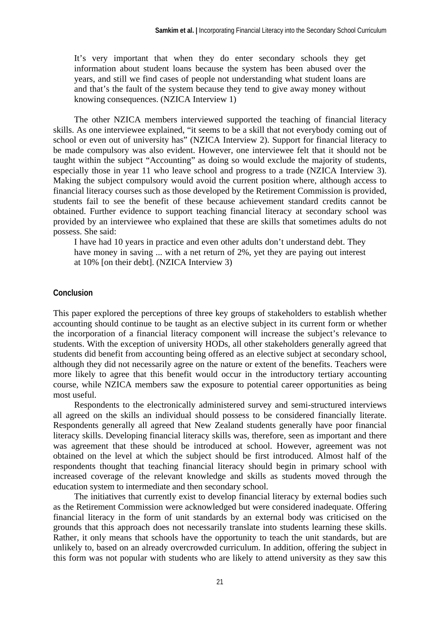It's very important that when they do enter secondary schools they get information about student loans because the system has been abused over the years, and still we find cases of people not understanding what student loans are and that's the fault of the system because they tend to give away money without knowing consequences. (NZICA Interview 1)

The other NZICA members interviewed supported the teaching of financial literacy skills. As one interviewee explained, "it seems to be a skill that not everybody coming out of school or even out of university has" (NZICA Interview 2). Support for financial literacy to be made compulsory was also evident. However, one interviewee felt that it should not be taught within the subject "Accounting" as doing so would exclude the majority of students, especially those in year 11 who leave school and progress to a trade (NZICA Interview 3). Making the subject compulsory would avoid the current position where, although access to financial literacy courses such as those developed by the Retirement Commission is provided, students fail to see the benefit of these because achievement standard credits cannot be obtained. Further evidence to support teaching financial literacy at secondary school was provided by an interviewee who explained that these are skills that sometimes adults do not possess. She said:

I have had 10 years in practice and even other adults don't understand debt. They have money in saving ... with a net return of 2%, yet they are paying out interest at 10% [on their debt]. (NZICA Interview 3)

#### **Conclusion**

This paper explored the perceptions of three key groups of stakeholders to establish whether accounting should continue to be taught as an elective subject in its current form or whether the incorporation of a financial literacy component will increase the subject's relevance to students. With the exception of university HODs, all other stakeholders generally agreed that students did benefit from accounting being offered as an elective subject at secondary school, although they did not necessarily agree on the nature or extent of the benefits. Teachers were more likely to agree that this benefit would occur in the introductory tertiary accounting course, while NZICA members saw the exposure to potential career opportunities as being most useful.

Respondents to the electronically administered survey and semi-structured interviews all agreed on the skills an individual should possess to be considered financially literate. Respondents generally all agreed that New Zealand students generally have poor financial literacy skills. Developing financial literacy skills was, therefore, seen as important and there was agreement that these should be introduced at school. However, agreement was not obtained on the level at which the subject should be first introduced. Almost half of the respondents thought that teaching financial literacy should begin in primary school with increased coverage of the relevant knowledge and skills as students moved through the education system to intermediate and then secondary school.

The initiatives that currently exist to develop financial literacy by external bodies such as the Retirement Commission were acknowledged but were considered inadequate. Offering financial literacy in the form of unit standards by an external body was criticised on the grounds that this approach does not necessarily translate into students learning these skills. Rather, it only means that schools have the opportunity to teach the unit standards, but are unlikely to, based on an already overcrowded curriculum. In addition, offering the subject in this form was not popular with students who are likely to attend university as they saw this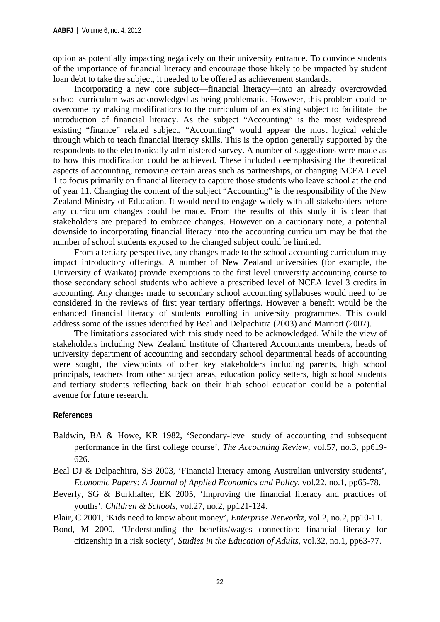option as potentially impacting negatively on their university entrance. To convince students of the importance of financial literacy and encourage those likely to be impacted by student loan debt to take the subject, it needed to be offered as achievement standards.

Incorporating a new core subject—financial literacy—into an already overcrowded school curriculum was acknowledged as being problematic. However, this problem could be overcome by making modifications to the curriculum of an existing subject to facilitate the introduction of financial literacy. As the subject "Accounting" is the most widespread existing "finance" related subject, "Accounting" would appear the most logical vehicle through which to teach financial literacy skills. This is the option generally supported by the respondents to the electronically administered survey. A number of suggestions were made as to how this modification could be achieved. These included deemphasising the theoretical aspects of accounting, removing certain areas such as partnerships, or changing NCEA Level 1 to focus primarily on financial literacy to capture those students who leave school at the end of year 11. Changing the content of the subject "Accounting" is the responsibility of the New Zealand Ministry of Education. It would need to engage widely with all stakeholders before any curriculum changes could be made. From the results of this study it is clear that stakeholders are prepared to embrace changes. However on a cautionary note, a potential downside to incorporating financial literacy into the accounting curriculum may be that the number of school students exposed to the changed subject could be limited.

From a tertiary perspective, any changes made to the school accounting curriculum may impact introductory offerings. A number of New Zealand universities (for example, the University of Waikato) provide exemptions to the first level university accounting course to those secondary school students who achieve a prescribed level of NCEA level 3 credits in accounting. Any changes made to secondary school accounting syllabuses would need to be considered in the reviews of first year tertiary offerings. However a benefit would be the enhanced financial literacy of students enrolling in university programmes. This could address some of the issues identified by Beal and Delpachitra (2003) and Marriott (2007).

The limitations associated with this study need to be acknowledged. While the view of stakeholders including New Zealand Institute of Chartered Accountants members, heads of university department of accounting and secondary school departmental heads of accounting were sought, the viewpoints of other key stakeholders including parents, high school principals, teachers from other subject areas, education policy setters, high school students and tertiary students reflecting back on their high school education could be a potential avenue for future research.

#### **References**

- Baldwin, BA & Howe, KR 1982, 'Secondary-level study of accounting and subsequent performance in the first college course', *The Accounting Review*, vol.57, no.3, pp619- 626.
- Beal DJ & Delpachitra, SB 2003, 'Financial literacy among Australian university students', *Economic Papers: A Journal of Applied Economics and Policy*, vol.22, no.1, pp65-78.
- Beverly, SG & Burkhalter, EK 2005, 'Improving the financial literacy and practices of youths', *Children & Schools*, vol.27, no.2, pp121-124.

Blair, C 2001, 'Kids need to know about money', *Enterprise Networkz*, vol.2, no.2, pp10-11.

Bond, M 2000, 'Understanding the benefits/wages connection: financial literacy for citizenship in a risk society', *Studies in the Education of Adults*, vol.32, no.1, pp63-77.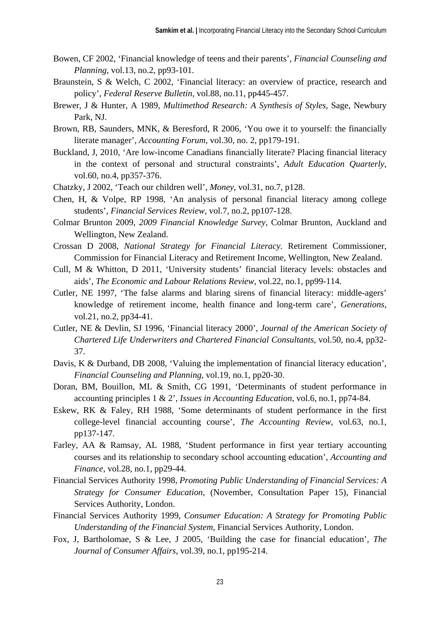- Bowen, CF 2002, 'Financial knowledge of teens and their parents', *Financial Counseling and Planning*, vol.13, no.2, pp93-101.
- Braunstein, S & Welch, C 2002, 'Financial literacy: an overview of practice, research and policy', *Federal Reserve Bulletin,* vol.88, no.11, pp445-457.
- Brewer, J & Hunter, A 1989, *Multimethod Research: A Synthesis of Styles*, Sage, Newbury Park, NJ.
- Brown, RB, Saunders, MNK, & Beresford, R 2006, 'You owe it to yourself: the financially literate manager', *Accounting Forum*, vol.30, no. 2, pp179-191.
- Buckland, J, 2010, 'Are low-income Canadians financially literate? Placing financial literacy in the context of personal and structural constraints', *Adult Education Quarterly*, vol.60, no.4, pp357-376.
- Chatzky, J 2002, 'Teach our children well', *Money*, vol.31, no.7, p128.
- Chen, H, & Volpe, RP 1998, 'An analysis of personal financial literacy among college students', *Financial Services Review*, vol.7, no.2, pp107-128.
- Colmar Brunton 2009, *2009 Financial Knowledge Survey,* Colmar Brunton, Auckland and Wellington, New Zealand.
- Crossan D 2008, *National Strategy for Financial Literacy*. Retirement Commissioner, Commission for Financial Literacy and Retirement Income, Wellington, New Zealand.
- Cull, M & Whitton, D 2011, 'University students' financial literacy levels: obstacles and aids', *The Economic and Labour Relations Review*, vol.22, no.1, pp99-114.
- Cutler, NE 1997, 'The false alarms and blaring sirens of financial literacy: middle-agers' knowledge of retirement income, health finance and long-term care', *Generations*, vol.21, no.2, pp34-41.
- Cutler, NE & Devlin, SJ 1996, 'Financial literacy 2000', *Journal of the American Society of Chartered Life Underwriters and Chartered Financial Consultants*, vol.50, no.4, pp32- 37.
- Davis, K & Durband, DB 2008, 'Valuing the implementation of financial literacy education', *Financial Counseling and Planning*, vol.19, no.1, pp20-30.
- Doran, BM, Bouillon, ML & Smith, CG 1991, 'Determinants of student performance in accounting principles 1 & 2', *Issues in Accounting Education*, vol.6, no.1, pp74-84.
- Eskew, RK & Faley, RH 1988, 'Some determinants of student performance in the first college-level financial accounting course', *The Accounting Review*, vol.63, no.1, pp137-147.
- Farley, AA & Ramsay, AL 1988, 'Student performance in first year tertiary accounting courses and its relationship to secondary school accounting education', *Accounting and Finance*, vol.28, no.1, pp29-44.
- Financial Services Authority 1998, *Promoting Public Understanding of Financial Services: A Strategy for Consumer Education*, (November, Consultation Paper 15), Financial Services Authority, London.
- Financial Services Authority 1999, *Consumer Education: A Strategy for Promoting Public Understanding of the Financial System*, Financial Services Authority, London.
- Fox, J, Bartholomae, S & Lee, J 2005, 'Building the case for financial education', *The Journal of Consumer Affairs*, vol.39, no.1, pp195-214.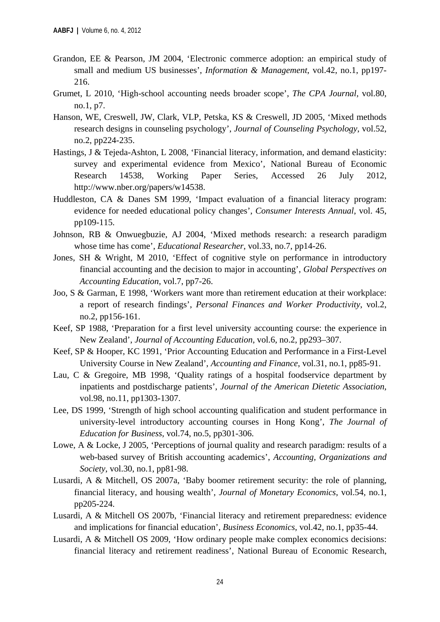- Grandon, EE & Pearson, JM 2004, 'Electronic commerce adoption: an empirical study of small and medium US businesses', *Information & Management*, vol.42, no.1, pp197- 216.
- Grumet, L 2010, 'High-school accounting needs broader scope', *The CPA Journal*, vol.80, no.1, p7.
- Hanson, WE, Creswell, JW, Clark, VLP, Petska, KS & Creswell, JD 2005, 'Mixed methods research designs in counseling psychology', *Journal of Counseling Psychology*, vol.52, no.2, pp224-235.
- Hastings, J & Tejeda-Ashton, L 2008, 'Financial literacy, information, and demand elasticity: survey and experimental evidence from Mexico', National Bureau of Economic Research 14538, Working Paper Series, Accessed 26 July 2012, http://www.nber.org/papers/w14538.
- Huddleston, CA & Danes SM 1999, 'Impact evaluation of a financial literacy program: evidence for needed educational policy changes', *Consumer Interests Annual*, vol. 45, pp109-115.
- Johnson, RB & Onwuegbuzie, AJ 2004, 'Mixed methods research: a research paradigm whose time has come', *Educational Researcher*, vol.33, no.7, pp14-26.
- Jones, SH & Wright, M 2010, 'Effect of cognitive style on performance in introductory financial accounting and the decision to major in accounting', *Global Perspectives on Accounting Education*, vol.7, pp7-26.
- Joo, S & Garman, E 1998, 'Workers want more than retirement education at their workplace: a report of research findings', *Personal Finances and Worker Productivity*, vol.2, no.2, pp156-161.
- Keef, SP 1988, 'Preparation for a first level university accounting course: the experience in New Zealand', *Journal of Accounting Education*, vol.6, no.2, pp293–307.
- Keef, SP & Hooper, KC 1991, 'Prior Accounting Education and Performance in a First-Level University Course in New Zealand', *Accounting and Finance*, vol.31, no.1, pp85-91.
- Lau, C & Gregoire, MB 1998, 'Quality ratings of a hospital foodservice department by inpatients and postdischarge patients', *Journal of the American Dietetic Association*, vol.98, no.11, pp1303-1307.
- Lee, DS 1999, 'Strength of high school accounting qualification and student performance in university-level introductory accounting courses in Hong Kong', *The Journal of Education for Business*, vol.74, no.5, pp301-306.
- Lowe, A & Locke, J 2005, 'Perceptions of journal quality and research paradigm: results of a web-based survey of British accounting academics', *Accounting, Organizations and Society*, vol.30, no.1, pp81-98.
- Lusardi, A & Mitchell, OS 2007a, 'Baby boomer retirement security: the role of planning, financial literacy, and housing wealth', *Journal of Monetary Economics*, vol.54, no.1, pp205-224.
- Lusardi, A & Mitchell OS 2007b, 'Financial literacy and retirement preparedness: evidence and implications for financial education', *Business Economics*, vol.42, no.1, pp35-44.
- Lusardi, A & Mitchell OS 2009, 'How ordinary people make complex economics decisions: financial literacy and retirement readiness', National Bureau of Economic Research,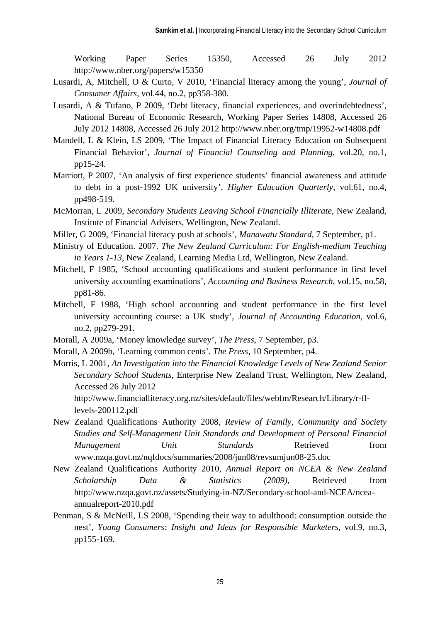Working Paper Series 15350, Accessed 26 July 2012 http://www.nber.org/papers/w15350

- Lusardi, A, Mitchell, O & Curto, V 2010, 'Financial literacy among the young', *Journal of Consumer Affairs*, vol.44, no.2, pp358-380.
- Lusardi, A & Tufano, P 2009, 'Debt literacy, financial experiences, and overindebtedness', National Bureau of Economic Research, Working Paper Series 14808, Accessed 26 July 2012 14808, Accessed 26 July 2012 http://www.nber.org/tmp/19952-w14808.pdf
- Mandell, L & Klein, LS 2009, 'The Impact of Financial Literacy Education on Subsequent Financial Behavior', *Journal of Financial Counseling and Planning*, vol.20, no.1, pp15-24.
- Marriott, P 2007, 'An analysis of first experience students' financial awareness and attitude to debt in a post-1992 UK university', *Higher Education Quarterly*, vol.61, no.4, pp498-519.
- McMorran, L 2009, *Secondary Students Leaving School Financially Illiterate*, New Zealand, Institute of Financial Advisers, Wellington, New Zealand.
- Miller, G 2009, 'Financial literacy push at schools', *Manawatu Standard*, 7 September, p1.
- Ministry of Education. 2007. *The New Zealand Curriculum: For English-medium Teaching in Years 1-13*, New Zealand, Learning Media Ltd, Wellington, New Zealand.
- Mitchell, F 1985, 'School accounting qualifications and student performance in first level university accounting examinations', *Accounting and Business Research*, vol.15, no.58, pp81-86.
- Mitchell, F 1988, 'High school accounting and student performance in the first level university accounting course: a UK study', *Journal of Accounting Education*, vol.6, no.2, pp279-291.
- Morall, A 2009a, 'Money knowledge survey', *The Press*, 7 September, p3.
- Morall, A 2009b, 'Learning common cents'. *The Press*, 10 September, p4.
- Morris, L 2001, *An Investigation into the Financial Knowledge Levels of New Zealand Senior Secondary School Students*, Enterprise New Zealand Trust, Wellington, New Zealand, Accessed 26 July 2012

http://www.financialliteracy.org.nz/sites/default/files/webfm/Research/Library/r-fllevels-200112.pdf

- New Zealand Qualifications Authority 2008, *Review of Family, Community and Society Studies and Self-Management Unit Standards and Development of Personal Financial Management Unit Standards* Retrieved from www.nzqa.govt.nz/nqfdocs/summaries/2008/jun08/revsumjun08-25.doc
- New Zealand Qualifications Authority 2010, *Annual Report on NCEA & New Zealand Scholarship Data & Statistics (2009),* Retrieved from http://www.nzqa.govt.nz/assets/Studying-in-NZ/Secondary-school-and-NCEA/nceaannualreport-2010.pdf
- Penman, S & McNeill, LS 2008, 'Spending their way to adulthood: consumption outside the nest', *Young Consumers: Insight and Ideas for Responsible Marketers*, vol.9, no.3, pp155-169.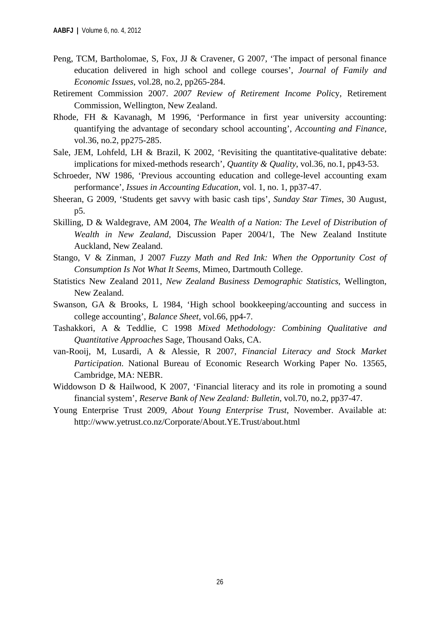- Peng, TCM, Bartholomae, S, Fox, JJ & Cravener, G 2007, 'The impact of personal finance education delivered in high school and college courses', *Journal of Family and Economic Issues*, vol.28, no.2, pp265-284.
- Retirement Commission 2007. *2007 Review of Retirement Income Poli*cy, Retirement Commission, Wellington, New Zealand.
- Rhode, FH & Kavanagh, M 1996, 'Performance in first year university accounting: quantifying the advantage of secondary school accounting', *Accounting and Finance,* vol.36, no.2, pp275-285.
- Sale, JEM, Lohfeld, LH & Brazil, K 2002, 'Revisiting the quantitative-qualitative debate: implications for mixed-methods research', *Quantity & Quality*, vol.36, no.1, pp43-53.
- Schroeder, NW 1986, 'Previous accounting education and college-level accounting exam performance', *Issues in Accounting Education*, vol. 1, no. 1, pp37-47.
- Sheeran, G 2009, 'Students get savvy with basic cash tips', *Sunday Star Times*, 30 August, p5.
- Skilling, D & Waldegrave, AM 2004, *The Wealth of a Nation: The Level of Distribution of Wealth in New Zealand*, Discussion Paper 2004/1, The New Zealand Institute Auckland, New Zealand.
- Stango, V & Zinman, J 2007 *Fuzzy Math and Red Ink: When the Opportunity Cost of Consumption Is Not What It Seems,* Mimeo, Dartmouth College.
- Statistics New Zealand 2011, *New Zealand Business Demographic Statistics*, Wellington, New Zealand.
- Swanson, GA & Brooks, L 1984, 'High school bookkeeping/accounting and success in college accounting', *Balance Sheet*, vol.66, pp4-7.
- Tashakkori, A & Teddlie, C 1998 *Mixed Methodology: Combining Qualitative and Quantitative Approaches* Sage, Thousand Oaks, CA.
- van-Rooij, M, Lusardi, A & Alessie, R 2007, *Financial Literacy and Stock Market Participation*. National Bureau of Economic Research Working Paper No. 13565, Cambridge, MA: NEBR.
- Widdowson D & Hailwood, K 2007, 'Financial literacy and its role in promoting a sound financial system', *Reserve Bank of New Zealand: Bulletin*, vol.70, no.2, pp37-47.
- Young Enterprise Trust 2009, *About Young Enterprise Trust*, November. Available at: http://www.yetrust.co.nz/Corporate/About.YE.Trust/about.html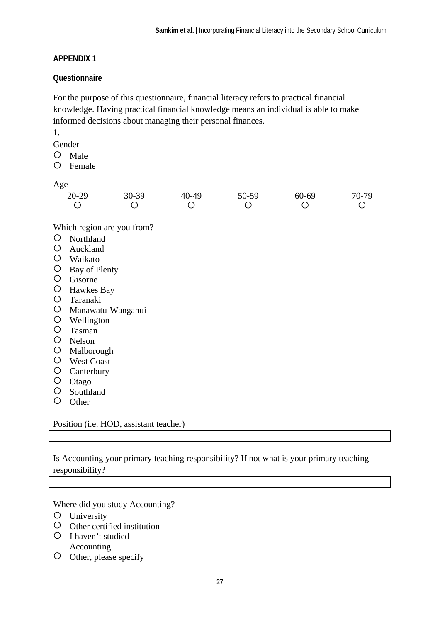#### **APPENDIX 1**

#### **Questionnaire**

For the purpose of this questionnaire, financial literacy refers to practical financial knowledge. Having practical financial knowledge means an individual is able to make informed decisions about managing their personal finances.

1.

- Gender
- Male
- Female

Age

| $20 - 29$           | $30-39$                    | 40-49 | 50-59 | $60 - 69$ | 70-79 |
|---------------------|----------------------------|-------|-------|-----------|-------|
| $\sim$<br>_ _ _ _ _ | Which region are you from? |       |       |           |       |

- O Northland
- Auckland
- Waikato
- O Bay of Plenty
- O Gisorne
- Hawkes Bay
- Taranaki
- Manawatu-Wanganui
- Wellington
- Tasman
- O Nelson
- Malborough
- West Coast
- O Canterbury
- O Otago
- Southland
- O Other

Position (i.e. HOD, assistant teacher)

Is Accounting your primary teaching responsibility? If not what is your primary teaching responsibility?

Where did you study Accounting?

- University
- Other certified institution
- O I haven't studied Accounting
- O Other, please specify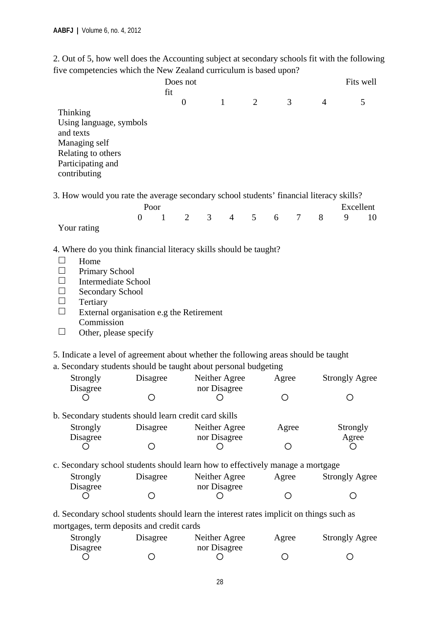2. Out of 5, how well does the Accounting subject at secondary schools fit with the following five competencies which the New Zealand curriculum is based upon?

|                                                                                                                                                                                                                                    |                                          | Does not       |                                  |                |                      |                | Fits well             |
|------------------------------------------------------------------------------------------------------------------------------------------------------------------------------------------------------------------------------------|------------------------------------------|----------------|----------------------------------|----------------|----------------------|----------------|-----------------------|
|                                                                                                                                                                                                                                    | fit                                      |                |                                  |                |                      |                |                       |
| Thinking<br>Using language, symbols<br>and texts<br>Managing self<br>Relating to others<br>Participating and<br>contributing                                                                                                       |                                          | $\overline{0}$ | $\mathbf{1}$                     | 2              | 3                    | $\overline{4}$ | 5                     |
| 3. How would you rate the average secondary school students' financial literacy skills?                                                                                                                                            |                                          |                |                                  |                |                      |                |                       |
|                                                                                                                                                                                                                                    | Poor                                     |                |                                  |                |                      |                | Excellent             |
| Your rating                                                                                                                                                                                                                        | $\mathbf{1}$<br>$\overline{0}$           | $\overline{2}$ | 3 <sup>7</sup><br>$\overline{4}$ | 5 <sup>5</sup> | $7\phantom{.0}$<br>6 | 8              | 9<br>10               |
| $\Box$<br>Tertiary<br>П<br>Commission<br>$\Box$<br>Other, please specify<br>5. Indicate a level of agreement about whether the following areas should be taught<br>a. Secondary students should be taught about personal budgeting | External organisation e.g the Retirement |                |                                  |                |                      |                |                       |
| Strongly<br>Disagree                                                                                                                                                                                                               | Disagree                                 |                | Neither Agree<br>nor Disagree    |                | Agree                |                | <b>Strongly Agree</b> |
| O                                                                                                                                                                                                                                  |                                          |                | Ő                                |                |                      |                |                       |
| b. Secondary students should learn credit card skills                                                                                                                                                                              |                                          |                |                                  |                |                      |                |                       |
| Strongly                                                                                                                                                                                                                           | Disagree                                 |                | Neither Agree                    |                | Agree                |                | Strongly              |
| Disagree                                                                                                                                                                                                                           | ◯                                        |                | nor Disagree                     |                | Ο                    |                | Agree                 |
| c. Secondary school students should learn how to effectively manage a mortgage                                                                                                                                                     |                                          |                |                                  |                |                      |                |                       |
| Strongly<br>Disagree                                                                                                                                                                                                               | Disagree                                 |                | Neither Agree<br>nor Disagree    |                | Agree                |                | <b>Strongly Agree</b> |
| ( )                                                                                                                                                                                                                                | ( )                                      |                |                                  |                | Ο                    |                | ()                    |
| d. Secondary school students should learn the interest rates implicit on things such as                                                                                                                                            |                                          |                |                                  |                |                      |                |                       |
| mortgages, term deposits and credit cards                                                                                                                                                                                          |                                          |                |                                  |                |                      |                |                       |
| Strongly<br>Disagree                                                                                                                                                                                                               | Disagree                                 |                | Neither Agree<br>nor Disagree    |                | Agree                |                | <b>Strongly Agree</b> |

 $\begin{matrix} 0 & 0 & 0 & 0 & 0 \end{matrix}$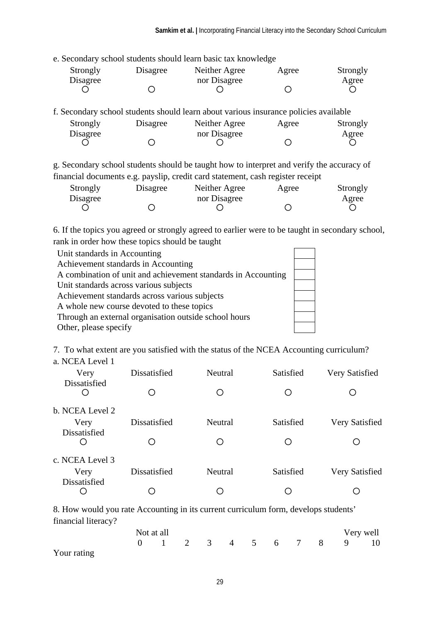e. Secondary school students should learn basic tax knowledge

| Strongly | Disagree | Neither Agree | Agree | Strongly |
|----------|----------|---------------|-------|----------|
| Disagree |          | nor Disagree  |       | Agree    |
|          |          |               |       |          |

f. Secondary school students should learn about various insurance policies available  $S_{t, \text{max}}$ Disagree Neither Agree  $\mathcal{R}_{\text{tron}}$ <sub>a</sub>ly

| <b>Strongly</b> | Disagree | Neither Agree | Agree | <b>Strongly</b> |
|-----------------|----------|---------------|-------|-----------------|
| Disagree        |          | nor Disagree  |       | Agree           |
|                 |          |               |       |                 |

g. Secondary school students should be taught how to interpret and verify the accuracy of financial documents e.g. payslip, credit card statement, cash register receipt

| Strongly | Disagree | Neither Agree | Agree | Strongly |
|----------|----------|---------------|-------|----------|
| Disagree |          | nor Disagree  |       | Agree    |
|          |          |               |       |          |

6. If the topics you agreed or strongly agreed to earlier were to be taught in secondary school, rank in order how these topics should be taught

| Unit standards in Accounting                                  |  |
|---------------------------------------------------------------|--|
| Achievement standards in Accounting                           |  |
| A combination of unit and achievement standards in Accounting |  |
| Unit standards across various subjects                        |  |
| Achievement standards across various subjects                 |  |
| A whole new course devoted to these topics                    |  |
| Through an external organisation outside school hours         |  |
| Other, please specify                                         |  |

7. To what extent are you satisfied with the status of the NCEA Accounting curriculum?

| a. NCEA Level 1 |  |
|-----------------|--|
|-----------------|--|

| Very                | Dissatisfied | Neutral | Satisfied | Very Satisfied |
|---------------------|--------------|---------|-----------|----------------|
| <b>Dissatisfied</b> |              |         |           |                |
| b. NCEA Level 2     |              |         |           |                |
| Very                | Dissatisfied | Neutral | Satisfied | Very Satisfied |
| <b>Dissatisfied</b> | ()           |         |           | ( )            |
| c. NCEA Level 3     |              |         |           |                |
| Very                | Dissatisfied | Neutral | Satisfied | Very Satisfied |
| Dissatisfied        |              |         |           | ( )            |

8. How would you rate Accounting in its current curriculum form, develops students' financial literacy?

|             | Not at all |  |  |  |  | Very well              |  |
|-------------|------------|--|--|--|--|------------------------|--|
|             |            |  |  |  |  | 0 1 2 3 4 5 6 7 8 9 10 |  |
| Your rating |            |  |  |  |  |                        |  |